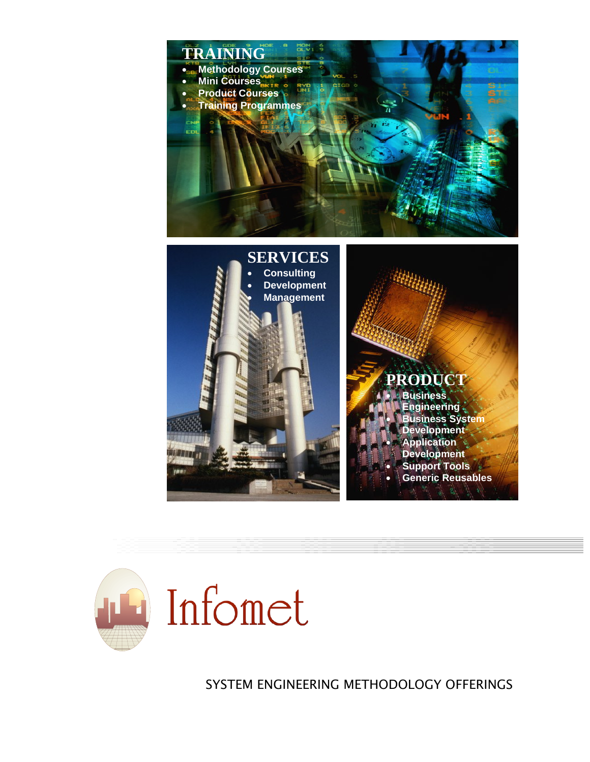



SYSTEM ENGINEERING METHODOLOGY OFFERINGS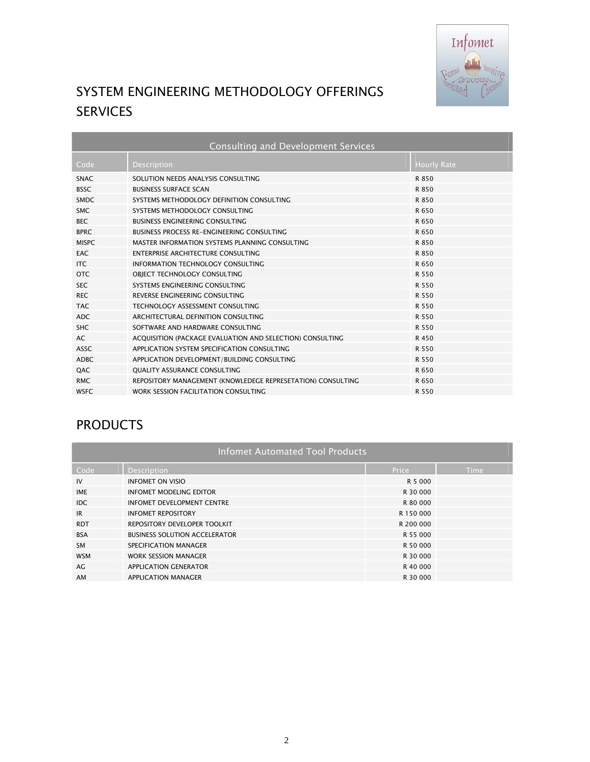

# SYSTEM ENGINEERING METHODOLOGY OFFERINGS SERVICES

| <b>Consulting and Development Services</b> |                                                             |                    |  |  |  |
|--------------------------------------------|-------------------------------------------------------------|--------------------|--|--|--|
| Code                                       | Description                                                 | <b>Hourly Rate</b> |  |  |  |
| <b>SNAC</b>                                | SOLUTION NEEDS ANALYSIS CONSULTING                          | R 850              |  |  |  |
| <b>BSSC</b>                                | <b>BUSINESS SURFACE SCAN</b>                                | R 850              |  |  |  |
| SMDC.                                      | SYSTEMS METHODOLOGY DEFINITION CONSULTING                   | R 850              |  |  |  |
| SMC.                                       | SYSTEMS METHODOLOGY CONSULTING                              | R 650              |  |  |  |
| <b>BEC</b>                                 | BUSINESS ENGINEERING CONSULTING                             | R 650              |  |  |  |
| <b>BPRC</b>                                | BUSINESS PROCESS RE-ENGINEERING CONSULTING                  | R 650              |  |  |  |
| <b>MISPC</b>                               | MASTER INFORMATION SYSTEMS PLANNING CONSULTING              | R 850              |  |  |  |
| EAC.                                       | ENTERPRISE ARCHITECTURE CONSULTING                          | R 850              |  |  |  |
| ITC.                                       | INFORMATION TECHNOLOGY CONSULTING                           | R 650              |  |  |  |
| OTC.                                       | OBJECT TECHNOLOGY CONSULTING                                | R 550              |  |  |  |
| <b>SEC</b>                                 | SYSTEMS ENGINEERING CONSULTING                              | R 550              |  |  |  |
| <b>REC</b>                                 | REVERSE ENGINEERING CONSULTING                              | R 550              |  |  |  |
| <b>TAC</b>                                 | TECHNOLOGY ASSESSMENT CONSULTING                            | R 550              |  |  |  |
| <b>ADC</b>                                 | ARCHITECTURAL DEFINITION CONSULTING                         | R 550              |  |  |  |
| <b>SHC</b>                                 | SOFTWARE AND HARDWARE CONSULTING                            | R 550              |  |  |  |
| AC                                         | ACQUISITION (PACKAGE EVALUATION AND SELECTION) CONSULTING   | R 450              |  |  |  |
| <b>ASSC</b>                                | APPLICATION SYSTEM SPECIFICATION CONSULTING                 | R 550              |  |  |  |
| ADBC.                                      | APPLICATION DEVELOPMENT/BUILDING CONSULTING                 | R 550              |  |  |  |
| QAC                                        | <b>QUALITY ASSURANCE CONSULTING</b>                         | R 650              |  |  |  |
| <b>RMC</b>                                 | REPOSITORY MANAGEMENT (KNOWLEDEGE REPRESETATION) CONSULTING | R 650              |  |  |  |
| <b>WSFC</b>                                | WORK SESSION FACILITATION CONSULTING                        | R 550              |  |  |  |

# **PRODUCTS**

| <b>Infomet Automated Tool Products</b> |                                      |           |             |  |  |  |
|----------------------------------------|--------------------------------------|-----------|-------------|--|--|--|
| Code                                   | <b>Description</b>                   | Price     | <b>Time</b> |  |  |  |
| IV                                     | <b>INFOMET ON VISIO</b>              | R 5 000   |             |  |  |  |
| <b>IME</b>                             | <b>INFOMET MODELING EDITOR</b>       | R 30 000  |             |  |  |  |
| <b>IDC</b>                             | <b>INFOMET DEVELOPMENT CENTRE</b>    | R 80 000  |             |  |  |  |
| IR                                     | <b>INFOMET REPOSITORY</b>            | R 150 000 |             |  |  |  |
| <b>RDT</b>                             | REPOSITORY DEVELOPER TOOLKIT         | R 200 000 |             |  |  |  |
| <b>BSA</b>                             | <b>BUSINESS SOLUTION ACCELERATOR</b> | R 55 000  |             |  |  |  |
| <b>SM</b>                              | SPECIFICATION MANAGER                | R 50 000  |             |  |  |  |
| <b>WSM</b>                             | <b>WORK SESSION MANAGER</b>          | R 30 000  |             |  |  |  |
| AG                                     | <b>APPLICATION GENERATOR</b>         | R 40 000  |             |  |  |  |
| AM                                     | <b>APPLICATION MANAGER</b>           | R 30 000  |             |  |  |  |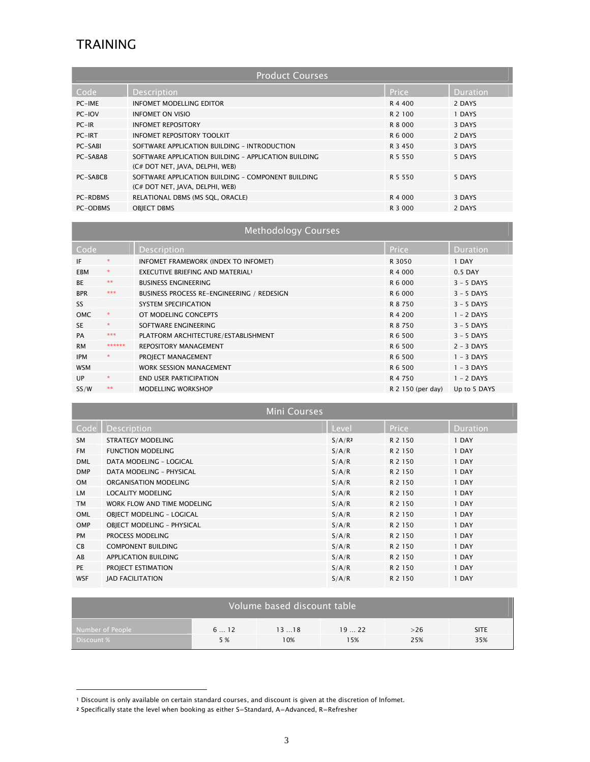## TRAINING

| <b>Product Courses</b> |                                                                                         |           |          |  |  |
|------------------------|-----------------------------------------------------------------------------------------|-----------|----------|--|--|
| Code                   | <b>Description</b>                                                                      | Price     | Duration |  |  |
| PC-IME                 | INFOMET MODELLING EDITOR                                                                | R 4 400   | 2 DAYS   |  |  |
| PC-IOV                 | <b>INFOMET ON VISIO</b>                                                                 | R 2 100   | 1 DAYS   |  |  |
| $PC-IR$                | <b>INFOMET REPOSITORY</b>                                                               | R 8 000   | 3 DAYS   |  |  |
| PC-IRT                 | INFOMET REPOSITORY TOOLKIT                                                              | R 6 000   | 2 DAYS   |  |  |
| PC-SABI                | SOFTWARE APPLICATION BUILDING - INTRODUCTION                                            | R 3 450   | 3 DAYS   |  |  |
| PC-SABAB               | SOFTWARE APPLICATION BUILDING - APPLICATION BUILDING<br>(C# DOT NET, JAVA, DELPHI, WEB) | R 5 5 5 0 | 5 DAYS   |  |  |
| PC-SABCB               | SOFTWARE APPLICATION BUILDING - COMPONENT BUILDING<br>(C# DOT NET, JAVA, DELPHI, WEB)   | R 5 5 5 0 | 5 DAYS   |  |  |
| <b>PC-RDBMS</b>        | RELATIONAL DBMS (MS SQL, ORACLE)                                                        | R 4 000   | 3 DAYS   |  |  |
| PC-ODBMS               | <b>OBIECT DBMS</b>                                                                      | R 3 000   | 2 DAYS   |  |  |

| <b>Methodology Courses</b> |                     |                                              |                   |              |  |
|----------------------------|---------------------|----------------------------------------------|-------------------|--------------|--|
| Code                       |                     | Price                                        | <b>Duration</b>   |              |  |
| IF                         | $\mathbf{x}$        | INFOMET FRAMEWORK (INDEX TO INFOMET)         | R 3050            | 1 DAY        |  |
| <b>EBM</b>                 | ×                   | EXECUTIVE BRIEFING AND MATERIAL <sup>1</sup> | R 4 000           | $0.5$ DAY    |  |
| <b>BE</b>                  | $\star\star$        | <b>BUSINESS ENGINEERING</b>                  | R 6 000           | $3 - 5$ DAYS |  |
| <b>BPR</b>                 | ***                 | BUSINESS PROCESS RE-ENGINEERING / REDESIGN   | R 6 000           | $3 - 5$ DAYS |  |
| <b>SS</b>                  |                     | <b>SYSTEM SPECIFICATION</b>                  | R 8 750           | $3 - 5$ DAYS |  |
| <b>OMC</b>                 | $\boldsymbol{\ast}$ | OT MODELING CONCEPTS                         | R 4 200           | $1 - 2$ DAYS |  |
| <b>SE</b>                  | $\mathcal{R}$       | SOFTWARE ENGINEERING                         | R 8 750           | $3 - 5$ DAYS |  |
| PA                         | ***                 | PLATFORM ARCHITECTURE/ESTABLISHMENT          | R 6 500           | $3 - 5$ DAYS |  |
| <b>RM</b>                  | ******              | <b>REPOSITORY MANAGEMENT</b>                 | R 6 500           | $2 - 3$ DAYS |  |
| <b>IPM</b>                 | ×                   | PROJECT MANAGEMENT                           | R 6 500           | $1 - 3$ DAYS |  |
| <b>WSM</b>                 |                     | <b>WORK SESSION MANAGEMENT</b>               | R 6 500           | $1 - 3$ DAYS |  |
| UP                         | $\star$             | <b>END USER PARTICIPATION</b>                | R 4 750           | $1 - 2$ DAYS |  |
| SS/W                       | **                  | <b>MODELLING WORKSHOP</b>                    | R 2 150 (per day) | Up to 5 DAYS |  |

| <b>Mini Courses</b> |                                   |                    |              |                 |  |  |
|---------------------|-----------------------------------|--------------------|--------------|-----------------|--|--|
| Code                | <b>Description</b>                | Level              | <b>Price</b> | <b>Duration</b> |  |  |
| <b>SM</b>           | <b>STRATEGY MODELING</b>          | S/A/R <sup>2</sup> | R 2 150      | 1 DAY           |  |  |
| <b>FM</b>           | <b>FUNCTION MODELING</b>          | S/A/R              | R 2 150      | 1 DAY           |  |  |
| <b>DML</b>          | DATA MODELING - LOGICAL           | S/A/R              | R 2 150      | 1 DAY           |  |  |
| <b>DMP</b>          | DATA MODELING - PHYSICAL          | S/A/R              | R 2 1 5 0    | 1 DAY           |  |  |
| <b>OM</b>           | ORGANISATION MODELING             | S/A/R              | R 2 150      | 1 DAY           |  |  |
| <b>LM</b>           | <b>LOCALITY MODELING</b>          | S/A/R              | R 2 150      | 1 DAY           |  |  |
| <b>TM</b>           | WORK FLOW AND TIME MODELING       | S/A/R              | R 2 150      | 1 DAY           |  |  |
| <b>OML</b>          | OBJECT MODELING - LOGICAL         | S/A/R              | R 2 150      | 1 DAY           |  |  |
| <b>OMP</b>          | <b>OBJECT MODELING - PHYSICAL</b> | S/A/R              | R 2 150      | 1 DAY           |  |  |
| <b>PM</b>           | PROCESS MODELING                  | S/A/R              | R 2 150      | 1 DAY           |  |  |
| <b>CB</b>           | <b>COMPONENT BUILDING</b>         | S/A/R              | R 2 150      | 1 DAY           |  |  |
| AB                  | <b>APPLICATION BUILDING</b>       | S/A/R              | R 2 150      | 1 DAY           |  |  |
| PE                  | PROJECT ESTIMATION                | S/A/R              | R 2 150      | 1 DAY           |  |  |
| <b>WSF</b>          | <b>IAD FACILITATION</b>           | S/A/R              | R 2 150      | 1 DAY           |  |  |

| Volume based discount table |     |      |      |     |             |  |
|-----------------------------|-----|------|------|-----|-------------|--|
| Number of People            | 612 | 1318 | 1922 | >26 | <b>SITE</b> |  |
| Discount %                  | 5 % | 10%  | 15%  | 25% | 35%         |  |

 $\overline{a}$ 

<sup>1</sup> Discount is only available on certain standard courses, and discount is given at the discretion of Infomet.

<sup>2</sup> Specifically state the level when booking as either S=Standard, A=Advanced, R=Refresher